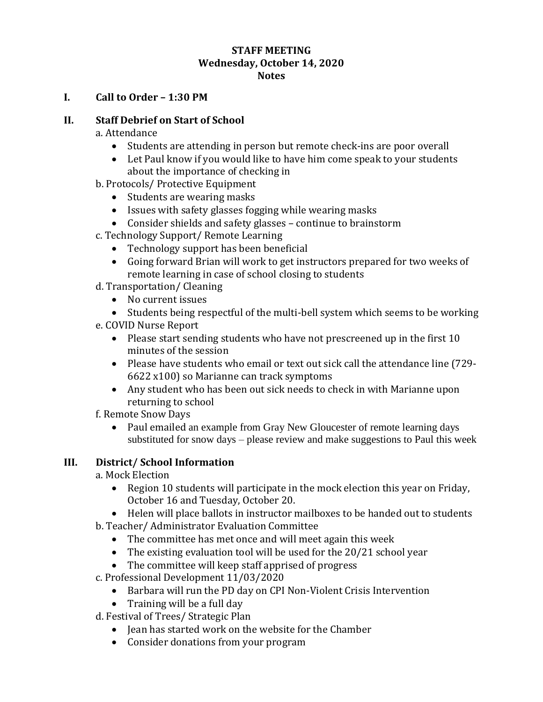#### **STAFF MEETING Wednesday, October 14, 2020 Notes**

#### **I. Call to Order – 1:30 PM**

### **II. Staff Debrief on Start of School**

a. Attendance

- Students are attending in person but remote check-ins are poor overall
- Let Paul know if you would like to have him come speak to your students about the importance of checking in
- b. Protocols/ Protective Equipment
	- Students are wearing masks
	- Issues with safety glasses fogging while wearing masks
	- Consider shields and safety glasses continue to brainstorm
- c. Technology Support/ Remote Learning
	- Technology support has been beneficial
	- Going forward Brian will work to get instructors prepared for two weeks of remote learning in case of school closing to students
- d. Transportation/ Cleaning
	- No current issues

Students being respectful of the multi-bell system which seems to be working

- e. COVID Nurse Report
	- Please start sending students who have not prescreened up in the first 10 minutes of the session
	- Please have students who email or text out sick call the attendance line (729- 6622 x100) so Marianne can track symptoms
	- Any student who has been out sick needs to check in with Marianne upon returning to school

f. Remote Snow Days

• Paul emailed an example from Gray New Gloucester of remote learning days substituted for snow days – please review and make suggestions to Paul this week

#### **III. District/ School Information**

a. Mock Election

- Region 10 students will participate in the mock election this year on Friday, October 16 and Tuesday, October 20.
- Helen will place ballots in instructor mailboxes to be handed out to students
- b. Teacher/ Administrator Evaluation Committee
	- The committee has met once and will meet again this week
	- The existing evaluation tool will be used for the 20/21 school vear
	- The committee will keep staff apprised of progress
- c. Professional Development 11/03/2020
	- Barbara will run the PD day on CPI Non-Violent Crisis Intervention
	- Training will be a full day
- d. Festival of Trees/ Strategic Plan
	- Jean has started work on the website for the Chamber
	- Consider donations from your program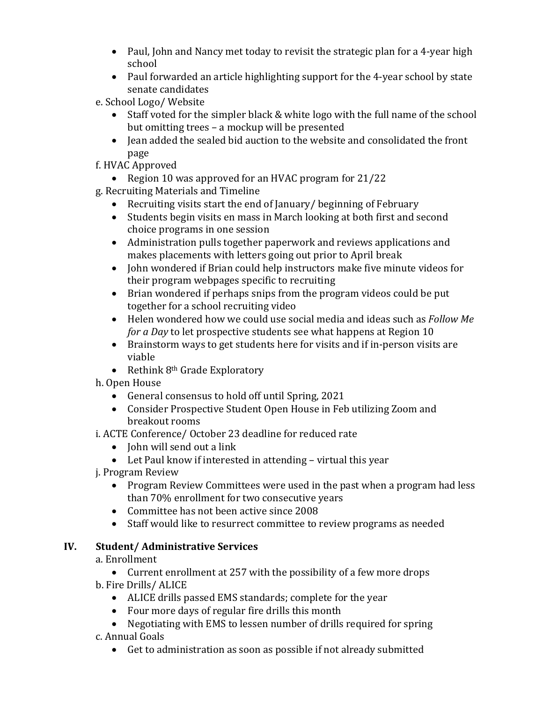- Paul, John and Nancy met today to revisit the strategic plan for a 4-year high school
- Paul forwarded an article highlighting support for the 4-year school by state senate candidates

e. School Logo/ Website

- Staff voted for the simpler black & white logo with the full name of the school but omitting trees – a mockup will be presented
- Jean added the sealed bid auction to the website and consolidated the front page
- f. HVAC Approved
	- Region 10 was approved for an HVAC program for 21/22
- g. Recruiting Materials and Timeline
	- Recruiting visits start the end of January/ beginning of February
	- Students begin visits en mass in March looking at both first and second choice programs in one session
	- Administration pulls together paperwork and reviews applications and makes placements with letters going out prior to April break
	- John wondered if Brian could help instructors make five minute videos for their program webpages specific to recruiting
	- Brian wondered if perhaps snips from the program videos could be put together for a school recruiting video
	- Helen wondered how we could use social media and ideas such as *Follow Me for a Day* to let prospective students see what happens at Region 10
	- Brainstorm ways to get students here for visits and if in-person visits are viable
	- Rethink  $8<sup>th</sup>$  Grade Exploratory
- h. Open House
	- General consensus to hold off until Spring, 2021
	- Consider Prospective Student Open House in Feb utilizing Zoom and breakout rooms
- i. ACTE Conference/ October 23 deadline for reduced rate
	- $\bullet$  John will send out a link
	- Let Paul know if interested in attending virtual this year
- j. Program Review
	- Program Review Committees were used in the past when a program had less than 70% enrollment for two consecutive years
	- Committee has not been active since 2008
	- Staff would like to resurrect committee to review programs as needed

# **IV. Student/ Administrative Services**

a. Enrollment

 Current enrollment at 257 with the possibility of a few more drops b. Fire Drills/ ALICE

- ALICE drills passed EMS standards; complete for the year
- Four more days of regular fire drills this month
- Negotiating with EMS to lessen number of drills required for spring c. Annual Goals
	- Get to administration as soon as possible if not already submitted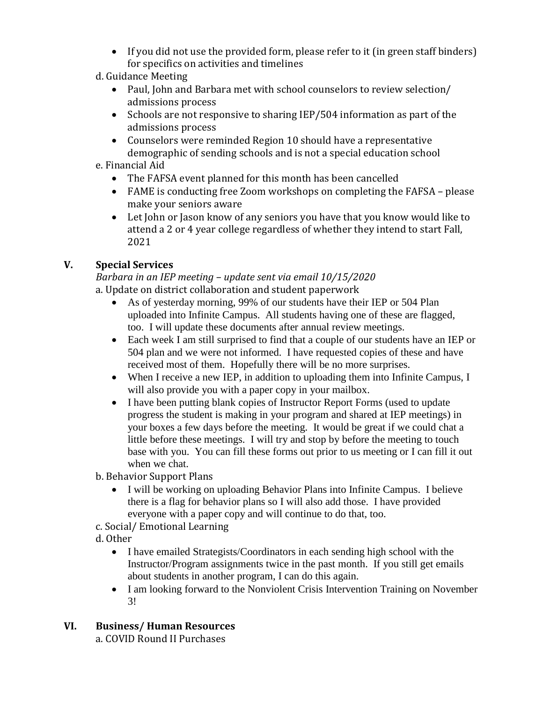- If you did not use the provided form, please refer to it (in green staff binders) for specifics on activities and timelines
- d. Guidance Meeting
	- Paul, John and Barbara met with school counselors to review selection/ admissions process
	- Schools are not responsive to sharing IEP/504 information as part of the admissions process
	- Counselors were reminded Region 10 should have a representative demographic of sending schools and is not a special education school
- e. Financial Aid
	- The FAFSA event planned for this month has been cancelled
	- FAME is conducting free Zoom workshops on completing the FAFSA please make your seniors aware
	- Let John or Jason know of any seniors you have that you know would like to attend a 2 or 4 year college regardless of whether they intend to start Fall, 2021

### **V. Special Services**

*Barbara in an IEP meeting – update sent via email 10/15/2020* a. Update on district collaboration and student paperwork

- As of yesterday morning, 99% of our students have their IEP or 504 Plan uploaded into Infinite Campus. All students having one of these are flagged, too. I will update these documents after annual review meetings.
- Each week I am still surprised to find that a couple of our students have an IEP or 504 plan and we were not informed. I have requested copies of these and have received most of them. Hopefully there will be no more surprises.
- When I receive a new IEP, in addition to uploading them into Infinite Campus, I will also provide you with a paper copy in your mailbox.
- I have been putting blank copies of Instructor Report Forms (used to update progress the student is making in your program and shared at IEP meetings) in your boxes a few days before the meeting. It would be great if we could chat a little before these meetings. I will try and stop by before the meeting to touch base with you. You can fill these forms out prior to us meeting or I can fill it out when we chat.
- b. Behavior Support Plans
	- I will be working on uploading Behavior Plans into Infinite Campus. I believe there is a flag for behavior plans so I will also add those. I have provided everyone with a paper copy and will continue to do that, too.
- c. Social/ Emotional Learning
- d. Other
	- I have emailed Strategists/Coordinators in each sending high school with the Instructor/Program assignments twice in the past month. If you still get emails about students in another program, I can do this again.
	- I am looking forward to the Nonviolent Crisis Intervention Training on November 3!

# **VI. Business/ Human Resources**

a. COVID Round II Purchases